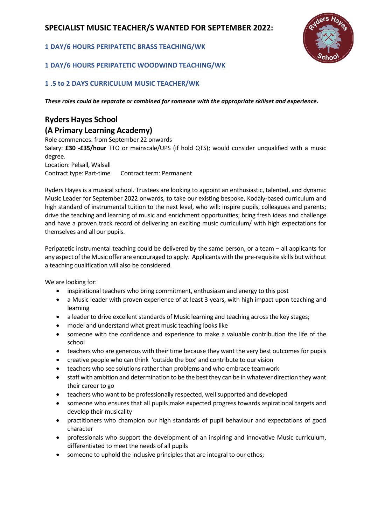# **SPECIALIST MUSIC TEACHER/S WANTED FOR SEPTEMBER 2022:**

#### **1 DAY/6 HOURS PERIPATETIC BRASS TEACHING/WK**

### **1 DAY/6 HOURS PERIPATETIC WOODWIND TEACHING/WK**

### **1 .5 to 2 DAYS CURRICULUM MUSIC TEACHER/WK**

*These roles could be separate or combined for someone with the appropriate skillset and experience.*

# **Ryders Hayes School**

### **(A Primary Learning Academy)**

Role commences: from September 22 onwards Salary: **£30 -£35/hour** TTO or mainscale/UPS (if hold QTS); would consider unqualified with a music degree. Location: Pelsall, Walsall Contract type: Part-time Contract term: Permanent

Ryders Hayes is a musical school. Trustees are looking to appoint an enthusiastic, talented, and dynamic Music Leader for September 2022 onwards, to take our existing bespoke, Kodàly-based curriculum and high standard of instrumental tuition to the next level, who will: inspire pupils, colleagues and parents; drive the teaching and learning of music and enrichment opportunities; bring fresh ideas and challenge and have a proven track record of delivering an exciting music curriculum/ with high expectations for themselves and all our pupils.

Peripatetic instrumental teaching could be delivered by the same person, or a team – all applicants for any aspect of the Music offer are encouraged to apply. Applicants with the pre-requisite skills but without a teaching qualification will also be considered.

We are looking for:

- inspirational teachers who bring commitment, enthusiasm and energy to this post
- a Music leader with proven experience of at least 3 years, with high impact upon teaching and learning
- a leader to drive excellent standards of Music learning and teaching across the key stages;
- model and understand what great music teaching looks like
- someone with the confidence and experience to make a valuable contribution the life of the school
- teachers who are generous with their time because they want the very best outcomes for pupils
- creative people who can think 'outside the box' and contribute to our vision
- teachers who see solutions rather than problems and who embrace teamwork
- staff with ambition and determination to be the best they can be in whatever direction they want their career to go
- teachers who want to be professionally respected, well supported and developed
- someone who ensures that all pupils make expected progress towards aspirational targets and develop their musicality
- practitioners who champion our high standards of pupil behaviour and expectations of good character
- professionals who support the development of an inspiring and innovative Music curriculum, differentiated to meet the needs of all pupils
- someone to uphold the inclusive principles that are integral to our ethos;

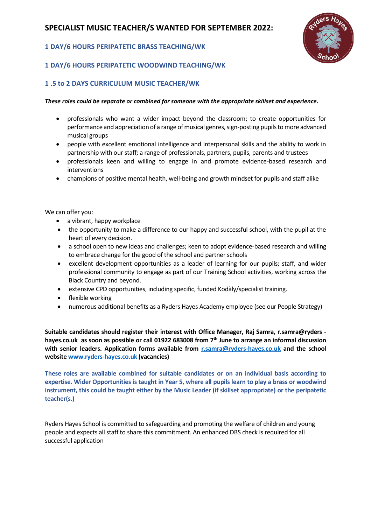# **SPECIALIST MUSIC TEACHER/S WANTED FOR SEPTEMBER 2022:**

### **1 DAY/6 HOURS PERIPATETIC BRASS TEACHING/WK**



### **1 DAY/6 HOURS PERIPATETIC WOODWIND TEACHING/WK**

#### **1 .5 to 2 DAYS CURRICULUM MUSIC TEACHER/WK**

#### *These roles could be separate or combined for someone with the appropriate skillset and experience.*

- professionals who want a wider impact beyond the classroom; to create opportunities for performance and appreciation of a range of musical genres, sign-posting pupils to more advanced musical groups
- people with excellent emotional intelligence and interpersonal skills and the ability to work in partnership with our staff; a range of professionals, partners, pupils, parents and trustees
- professionals keen and willing to engage in and promote evidence-based research and interventions
- champions of positive mental health, well-being and growth mindset for pupils and staff alike

We can offer you:

- a vibrant, happy workplace
- the opportunity to make a difference to our happy and successful school, with the pupil at the heart of every decision.
- a school open to new ideas and challenges; keen to adopt evidence-based research and willing to embrace change for the good of the school and partner schools
- excellent development opportunities as a leader of learning for our pupils; staff, and wider professional community to engage as part of our Training School activities, working across the Black Country and beyond.
- extensive CPD opportunities, including specific, funded Kodàly/specialist training.
- flexible working
- numerous additional benefits as a Ryders Hayes Academy employee (see our People Strategy)

**Suitable candidates should register their interest with Office Manager, Raj Samra, r.samra@ryders hayes.co.uk as soon as possible or call 01922 683008 from 7th June to arrange an informal discussion with senior leaders. Application forms available from [r.samra@ryders-hayes.co.uk](mailto:r.samra@ryders-hayes.co.uk) and the school websit[e www.ryders-hayes.co.uk](http://www.ryders-hayes.co.uk/) (vacancies)**

**These roles are available combined for suitable candidates or on an individual basis according to expertise. Wider Opportunities is taught in Year 5, where all pupils learn to play a brass or woodwind instrument, this could be taught either by the Music Leader (if skillset appropriate) or the peripatetic teacher(s.)**

Ryders Hayes School is committed to safeguarding and promoting the welfare of children and young people and expects all staff to share this commitment. An enhanced DBS check is required for all successful application